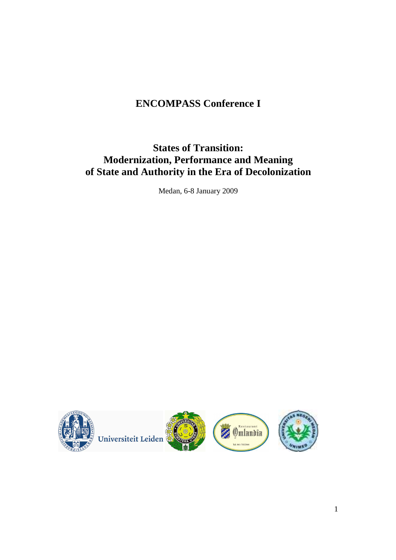# **ENCOMPASS Conference I**

# **States of Transition: Modernization, Performance and Meaning of State and Authority in the Era of Decolonization**

Medan, 6-8 January 2009

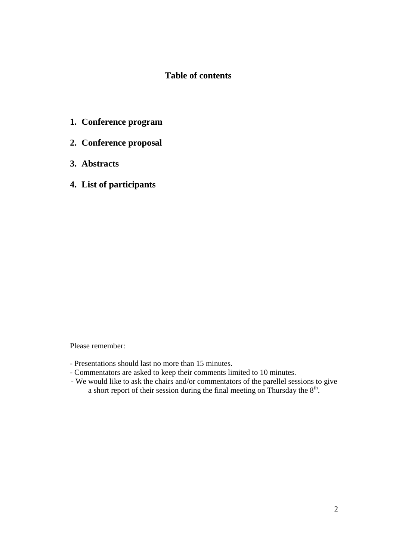# **Table of contents**

- **1. Conference program**
- **2. Conference proposal**
- **3. Abstracts**
- **4. List of participants**

Please remember:

- Presentations should last no more than 15 minutes.
- Commentators are asked to keep their comments limited to 10 minutes.
- We would like to ask the chairs and/or commentators of the parellel sessions to give a short report of their session during the final meeting on Thursday the  $8<sup>th</sup>$ .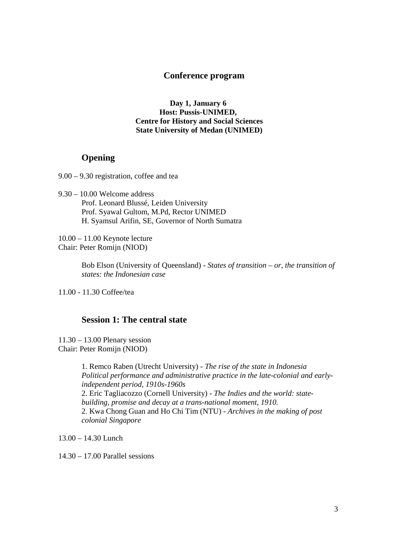## **Conference program**

**Day 1, January 6 Host: Pussis-UNIMED, Centre for History and Social Sciences State University of Medan (UNIMED)** 

# **Opening**

9.00 – 9.30 registration, coffee and tea

9.30 – 10.00 Welcome address Prof. Leonard Blussé, Leiden University Prof. Syawal Gultom, M.Pd, Rector UNIMED H. Syamsul Arifin, SE, Governor of North Sumatra

10.00 – 11.00 Keynote lecture Chair: Peter Romijn (NIOD)

> Bob Elson (University of Queensland) - *States of transition – or, the transition of states: the Indonesian case*

11.00 - 11.30 Coffee/tea

## **Session 1: The central state**

11.30 – 13.00 Plenary session Chair: Peter Romijn (NIOD)

> 1. Remco Raben (Utrecht University) - *The rise of the state in Indonesia Political performance and administrative practice in the late-colonial and earlyindependent period, 1910s-1960s*  2. Eric Tagliacozzo (Cornell University) - *The Indies and the world: statebuilding, promise and decay at a trans-national moment, 1910.*  2. Kwa Chong Guan and Ho Chi Tim (NTU) - *Archives in the making of post colonial Singapore*

13.00 – 14.30 Lunch

14.30 – 17.00 Parallel sessions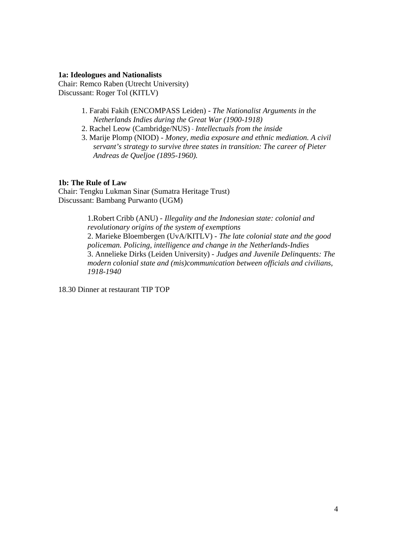#### **1a: Ideologues and Nationalists**

Chair: Remco Raben (Utrecht University) Discussant: Roger Tol (KITLV)

- 1. Farabi Fakih (ENCOMPASS Leiden) *The Nationalist Arguments in the Netherlands Indies during the Great War (1900-1918)*
- 2. Rachel Leow (Cambridge/NUS) *Intellectuals from the inside*
- 3. Marije Plomp (NIOD) *Money, media exposure and ethnic mediation. A civil servant's strategy to survive three states in transition: The career of Pieter Andreas de Queljoe (1895-1960).*

## **1b: The Rule of Law**

Chair: Tengku Lukman Sinar (Sumatra Heritage Trust) Discussant: Bambang Purwanto (UGM)

> 1.Robert Cribb (ANU) - *Illegality and the Indonesian state: colonial and revolutionary origins of the system of exemptions* 2. Marieke Bloembergen (UvA/KITLV) - *The late colonial state and the good policeman. Policing, intelligence and change in the Netherlands-Indies*  3. Annelieke Dirks (Leiden University) - *Judges and Juvenile Delinquents: The modern colonial state and (mis)communication between officials and civilians, 1918-1940*

18.30 Dinner at restaurant TIP TOP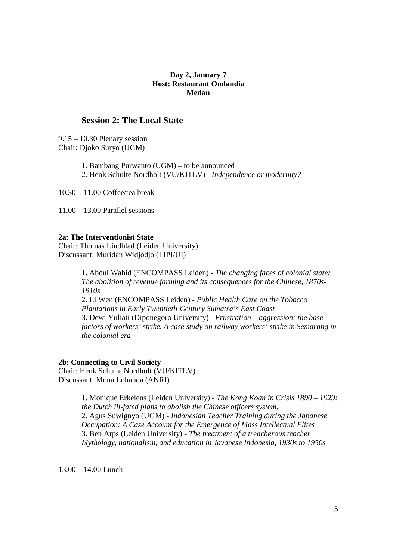## **Day 2, January 7 Host: Restaurant Omlandia Medan**

## **Session 2: The Local State**

9.15 – 10.30 Plenary session Chair: Djoko Suryo (UGM)

> 1. Bambang Purwanto (UGM) – to be announced 2. Henk Schulte Nordholt (VU/KITLV) - *Independence or modernity?*

10.30 – 11.00 Coffee/tea break

11.00 – 13.00 Parallel sessions

## **2a: The Interventionist State**

Chair: Thomas Lindblad (Leiden University) Discussant: Muridan Widjodjo (LIPI/UI)

> 1. Abdul Wahid (ENCOMPASS Leiden) - *The changing faces of colonial state: The abolition of revenue farming and its consequences for the Chinese, 1870s-1910s*  2. Li Wen (ENCOMPASS Leiden) - *Public Health Care on the Tobacco Plantations in Early Twentieth-Century Sumatra's East Coast* 3. Dewi Yuliati (Diponegoro University) - *Frustration – aggression: the base factors of workers' strike. A case study on railway workers' strike in Semarang in the colonial era*

#### **2b: Connecting to Civil Society**

Chair: Henk Schulte Nordholt (VU/KITLV) Discussant: Mona Lohanda (ANRI)

> 1. Monique Erkelens (Leiden University) - *The Kong Koan in Crisis 1890 – 1929: the Dutch ill-fated plans to abolish the Chinese officers system*. 2. Agus Suwignyo (UGM) - *Indonesian Teacher Training during the Japanese Occupation: A Case Account for the Emergence of Mass Intellectual Elites*  3. Ben Arps (Leiden University) - *The treatment of a treacherous teacher Mythology, nationalism, and education in Javanese Indonesia, 1930s to 1950s*

13.00 – 14.00 Lunch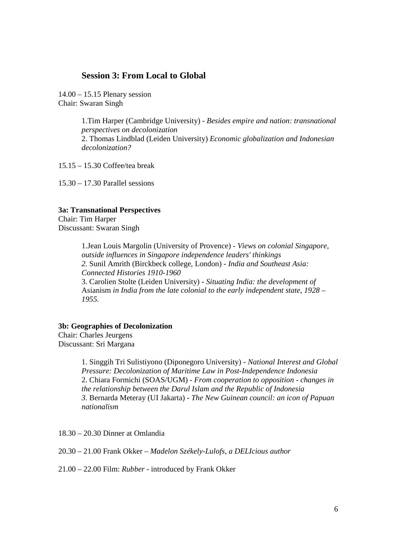## **Session 3: From Local to Global**

14.00 – 15.15 Plenary session Chair: Swaran Singh

> 1.Tim Harper (Cambridge University) - *Besides empire and nation: transnational perspectives on decolonization*  2. Thomas Lindblad (Leiden University) *Economic globalization and Indonesian decolonization?*

15.15 – 15.30 Coffee/tea break

15.30 – 17.30 Parallel sessions

#### **3a: Transnational Perspectives**

Chair: Tim Harper Discussant: Swaran Singh

> 1.Jean Louis Margolin (University of Provence) - *Views on colonial Singapore, outside influences in Singapore independence leaders' thinkings 2.* Sunil Amrith (Birckbeck college, London) *- India and Southeast Asia: Connected Histories 1910-1960*  3. Carolien Stolte (Leiden University) - *Situating India: the development of*  Asianism *in India from the late colonial to the early independent state, 1928 – 1955.*

#### **3b: Geographies of Decolonization**

Chair: Charles Jeurgens Discussant: Sri Margana

> 1. Singgih Tri Sulistiyono (Diponegoro University) - *National Interest and Global Pressure: Decolonization of Maritime Law in Post-Independence Indonesia* 2. Chiara Formichi (SOAS/UGM) - *From cooperation to opposition - changes in the relationship between the Darul Islam and the Republic of Indonesia 3.* Bernarda Meteray (UI Jakarta) - *The New Guinean council: an icon of Papuan nationalism*

18.30 – 20.30 Dinner at Omlandia

20.30 – 21.00 Frank Okker – *Madelon Székely-Lulofs, a DELIcious author* 

21.00 – 22.00 Film: *Rubber* - introduced by Frank Okker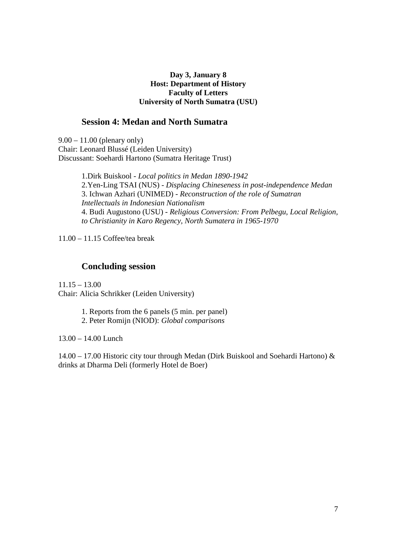## **Day 3, January 8 Host: Department of History Faculty of Letters University of North Sumatra (USU)**

# **Session 4: Medan and North Sumatra**

9.00 – 11.00 (plenary only) Chair: Leonard Blussé (Leiden University) Discussant: Soehardi Hartono (Sumatra Heritage Trust)

> 1.Dirk Buiskool - *Local politics in Medan 1890-1942*  2.Yen-Ling TSAI (NUS) - *Displacing Chineseness in post-independence Medan* 3. Ichwan Azhari (UNIMED) - *Reconstruction of the role of Sumatran Intellectuals in Indonesian Nationalism* 4. Budi Augustono (USU) - *Religious Conversion: From Pelbegu, Local Religion, to Christianity in Karo Regency, North Sumatera in 1965-1970*

11.00 – 11.15 Coffee/tea break

# **Concluding session**

 $11.15 - 13.00$ Chair: Alicia Schrikker (Leiden University)

1. Reports from the 6 panels (5 min. per panel)

2. Peter Romijn (NIOD): *Global comparisons* 

13.00 – 14.00 Lunch

14.00 – 17.00 Historic city tour through Medan (Dirk Buiskool and Soehardi Hartono) & drinks at Dharma Deli (formerly Hotel de Boer)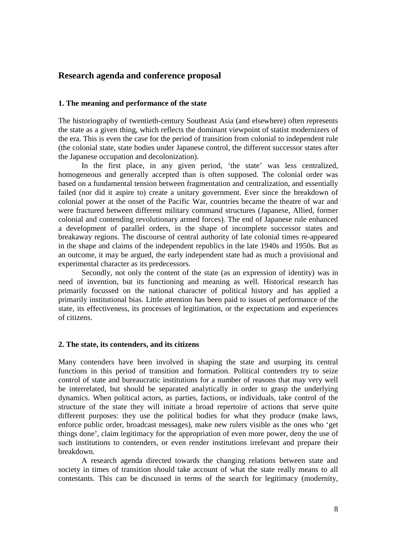## **Research agenda and conference proposal**

#### **1. The meaning and performance of the state**

The historiography of twentieth-century Southeast Asia (and elsewhere) often represents the state as a given thing, which reflects the dominant viewpoint of statist modernizers of the era. This is even the case for the period of transition from colonial to independent rule (the colonial state, state bodies under Japanese control, the different successor states after the Japanese occupation and decolonization).

 In the first place, in any given period, 'the state' was less centralized, homogeneous and generally accepted than is often supposed. The colonial order was based on a fundamental tension between fragmentation and centralization, and essentially failed (nor did it aspire to) create a unitary government. Ever since the breakdown of colonial power at the onset of the Pacific War, countries became the theatre of war and were fractured between different military command structures (Japanese, Allied, former colonial and contending revolutionary armed forces). The end of Japanese rule enhanced a development of parallel orders, in the shape of incomplete successor states and breakaway regions. The discourse of central authority of late colonial times re-appeared in the shape and claims of the independent republics in the late 1940s and 1950s. But as an outcome, it may be argued, the early independent state had as much a provisional and experimental character as its predecessors.

 Secondly, not only the content of the state (as an expression of identity) was in need of invention, but its functioning and meaning as well. Historical research has primarily focussed on the national character of political history and has applied a primarily institutional bias. Little attention has been paid to issues of performance of the state, its effectiveness, its processes of legitimation, or the expectations and experiences of citizens.

#### **2. The state, its contenders, and its citizens**

Many contenders have been involved in shaping the state and usurping its central functions in this period of transition and formation. Political contenders try to seize control of state and bureaucratic institutions for a number of reasons that may very well be interrelated, but should be separated analytically in order to grasp the underlying dynamics. When political actors, as parties, factions, or individuals, take control of the structure of the state they will initiate a broad repertoire of actions that serve quite different purposes: they use the political bodies for what they produce (make laws, enforce public order, broadcast messages), make new rulers visible as the ones who 'get things done', claim legitimacy for the appropriation of even more power, deny the use of such institutions to contenders, or even render institutions irrelevant and prepare their breakdown.

 A research agenda directed towards the changing relations between state and society in times of transition should take account of what the state really means to all contestants. This can be discussed in terms of the search for legitimacy (modernity,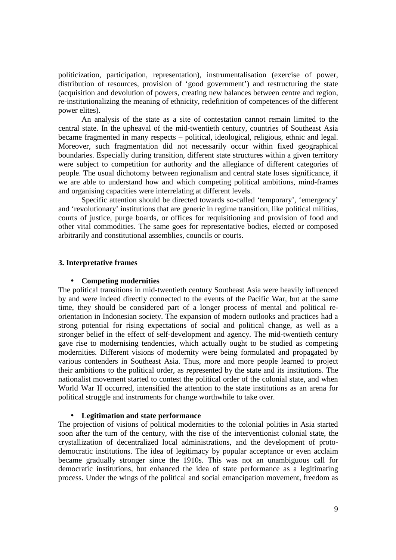politicization, participation, representation), instrumentalisation (exercise of power, distribution of resources, provision of 'good government') and restructuring the state (acquisition and devolution of powers, creating new balances between centre and region, re-institutionalizing the meaning of ethnicity, redefinition of competences of the different power elites).

 An analysis of the state as a site of contestation cannot remain limited to the central state. In the upheaval of the mid-twentieth century, countries of Southeast Asia became fragmented in many respects – political, ideological, religious, ethnic and legal. Moreover, such fragmentation did not necessarily occur within fixed geographical boundaries. Especially during transition, different state structures within a given territory were subject to competition for authority and the allegiance of different categories of people. The usual dichotomy between regionalism and central state loses significance, if we are able to understand how and which competing political ambitions, mind-frames and organising capacities were interrelating at different levels.

 Specific attention should be directed towards so-called 'temporary', 'emergency' and 'revolutionary' institutions that are generic in regime transition, like political militias, courts of justice, purge boards, or offices for requisitioning and provision of food and other vital commodities. The same goes for representative bodies, elected or composed arbitrarily and constitutional assemblies, councils or courts.

#### **3. Interpretative frames**

#### • **Competing modernities**

The political transitions in mid-twentieth century Southeast Asia were heavily influenced by and were indeed directly connected to the events of the Pacific War, but at the same time, they should be considered part of a longer process of mental and political reorientation in Indonesian society. The expansion of modern outlooks and practices had a strong potential for rising expectations of social and political change, as well as a stronger belief in the effect of self-development and agency. The mid-twentieth century gave rise to modernising tendencies, which actually ought to be studied as competing modernities. Different visions of modernity were being formulated and propagated by various contenders in Southeast Asia. Thus, more and more people learned to project their ambitions to the political order, as represented by the state and its institutions. The nationalist movement started to contest the political order of the colonial state, and when World War II occurred, intensified the attention to the state institutions as an arena for political struggle and instruments for change worthwhile to take over.

#### • **Legitimation and state performance**

The projection of visions of political modernities to the colonial polities in Asia started soon after the turn of the century, with the rise of the interventionist colonial state, the crystallization of decentralized local administrations, and the development of protodemocratic institutions. The idea of legitimacy by popular acceptance or even acclaim became gradually stronger since the 1910s. This was not an unambiguous call for democratic institutions, but enhanced the idea of state performance as a legitimating process. Under the wings of the political and social emancipation movement, freedom as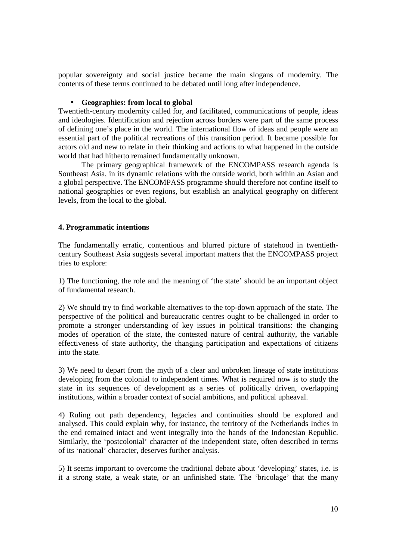popular sovereignty and social justice became the main slogans of modernity. The contents of these terms continued to be debated until long after independence.

## • **Geographies: from local to global**

Twentieth-century modernity called for, and facilitated, communications of people, ideas and ideologies. Identification and rejection across borders were part of the same process of defining one's place in the world. The international flow of ideas and people were an essential part of the political recreations of this transition period. It became possible for actors old and new to relate in their thinking and actions to what happened in the outside world that had hitherto remained fundamentally unknown.

 The primary geographical framework of the ENCOMPASS research agenda is Southeast Asia, in its dynamic relations with the outside world, both within an Asian and a global perspective. The ENCOMPASS programme should therefore not confine itself to national geographies or even regions, but establish an analytical geography on different levels, from the local to the global.

## **4. Programmatic intentions**

The fundamentally erratic, contentious and blurred picture of statehood in twentiethcentury Southeast Asia suggests several important matters that the ENCOMPASS project tries to explore:

1) The functioning, the role and the meaning of 'the state' should be an important object of fundamental research.

2) We should try to find workable alternatives to the top-down approach of the state. The perspective of the political and bureaucratic centres ought to be challenged in order to promote a stronger understanding of key issues in political transitions: the changing modes of operation of the state, the contested nature of central authority, the variable effectiveness of state authority, the changing participation and expectations of citizens into the state.

3) We need to depart from the myth of a clear and unbroken lineage of state institutions developing from the colonial to independent times. What is required now is to study the state in its sequences of development as a series of politically driven, overlapping institutions, within a broader context of social ambitions, and political upheaval.

4) Ruling out path dependency, legacies and continuities should be explored and analysed. This could explain why, for instance, the territory of the Netherlands Indies in the end remained intact and went integrally into the hands of the Indonesian Republic. Similarly, the 'postcolonial' character of the independent state, often described in terms of its 'national' character, deserves further analysis.

5) It seems important to overcome the traditional debate about 'developing' states, i.e. is it a strong state, a weak state, or an unfinished state. The 'bricolage' that the many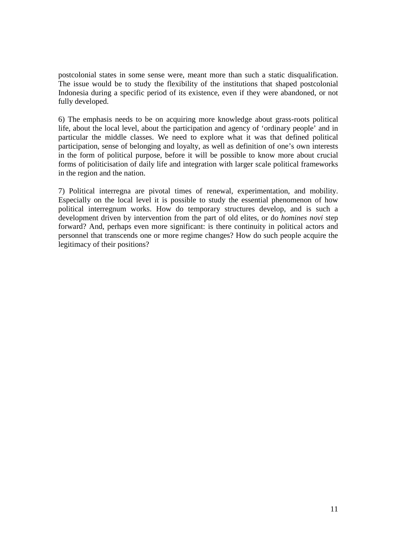postcolonial states in some sense were, meant more than such a static disqualification. The issue would be to study the flexibility of the institutions that shaped postcolonial Indonesia during a specific period of its existence, even if they were abandoned, or not fully developed.

6) The emphasis needs to be on acquiring more knowledge about grass-roots political life, about the local level, about the participation and agency of 'ordinary people' and in particular the middle classes. We need to explore what it was that defined political participation, sense of belonging and loyalty, as well as definition of one's own interests in the form of political purpose, before it will be possible to know more about crucial forms of politicisation of daily life and integration with larger scale political frameworks in the region and the nation.

7) Political interregna are pivotal times of renewal, experimentation, and mobility. Especially on the local level it is possible to study the essential phenomenon of how political interregnum works. How do temporary structures develop, and is such a development driven by intervention from the part of old elites, or do *homines novi* step forward? And, perhaps even more significant: is there continuity in political actors and personnel that transcends one or more regime changes? How do such people acquire the legitimacy of their positions?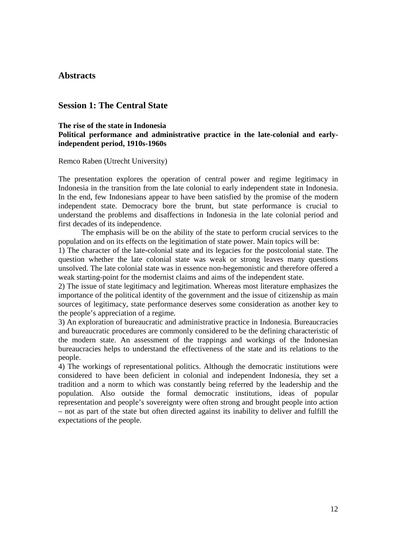## **Abstracts**

# **Session 1: The Central State**

## **The rise of the state in Indonesia Political performance and administrative practice in the late-colonial and earlyindependent period, 1910s-1960s**

Remco Raben (Utrecht University)

The presentation explores the operation of central power and regime legitimacy in Indonesia in the transition from the late colonial to early independent state in Indonesia. In the end, few Indonesians appear to have been satisfied by the promise of the modern independent state. Democracy bore the brunt, but state performance is crucial to understand the problems and disaffections in Indonesia in the late colonial period and first decades of its independence.

The emphasis will be on the ability of the state to perform crucial services to the population and on its effects on the legitimation of state power. Main topics will be:

1) The character of the late-colonial state and its legacies for the postcolonial state. The question whether the late colonial state was weak or strong leaves many questions unsolved. The late colonial state was in essence non-hegemonistic and therefore offered a weak starting-point for the modernist claims and aims of the independent state.

2) The issue of state legitimacy and legitimation. Whereas most literature emphasizes the importance of the political identity of the government and the issue of citizenship as main sources of legitimacy, state performance deserves some consideration as another key to the people's appreciation of a regime.

3) An exploration of bureaucratic and administrative practice in Indonesia. Bureaucracies and bureaucratic procedures are commonly considered to be the defining characteristic of the modern state. An assessment of the trappings and workings of the Indonesian bureaucracies helps to understand the effectiveness of the state and its relations to the people.

4) The workings of representational politics. Although the democratic institutions were considered to have been deficient in colonial and independent Indonesia, they set a tradition and a norm to which was constantly being referred by the leadership and the population. Also outside the formal democratic institutions, ideas of popular representation and people's sovereignty were often strong and brought people into action – not as part of the state but often directed against its inability to deliver and fulfill the expectations of the people.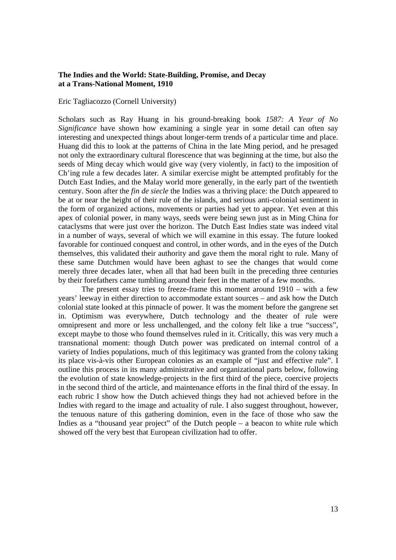#### **The Indies and the World: State-Building, Promise, and Decay at a Trans-National Moment, 1910**

#### Eric Tagliacozzo (Cornell University)

Scholars such as Ray Huang in his ground-breaking book *1587: A Year of No Significance* have shown how examining a single year in some detail can often say interesting and unexpected things about longer-term trends of a particular time and place. Huang did this to look at the patterns of China in the late Ming period, and he presaged not only the extraordinary cultural florescence that was beginning at the time, but also the seeds of Ming decay which would give way (very violently, in fact) to the imposition of Ch'ing rule a few decades later. A similar exercise might be attempted profitably for the Dutch East Indies, and the Malay world more generally, in the early part of the twentieth century. Soon after the *fin de siecle* the Indies was a thriving place: the Dutch appeared to be at or near the height of their rule of the islands, and serious anti-colonial sentiment in the form of organized actions, movements or parties had yet to appear. Yet even at this apex of colonial power, in many ways, seeds were being sewn just as in Ming China for cataclysms that were just over the horizon. The Dutch East Indies state was indeed vital in a number of ways, several of which we will examine in this essay. The future looked favorable for continued conquest and control, in other words, and in the eyes of the Dutch themselves, this validated their authority and gave them the moral right to rule. Many of these same Dutchmen would have been aghast to see the changes that would come merely three decades later, when all that had been built in the preceding three centuries by their forefathers came tumbling around their feet in the matter of a few months.

 The present essay tries to freeze-frame this moment around 1910 – with a few years' leeway in either direction to accommodate extant sources – and ask how the Dutch colonial state looked at this pinnacle of power. It was the moment before the gangrene set in. Optimism was everywhere, Dutch technology and the theater of rule were omnipresent and more or less unchallenged, and the colony felt like a true "success", except maybe to those who found themselves ruled in it. Critically, this was very much a transnational moment: though Dutch power was predicated on internal control of a variety of Indies populations, much of this legitimacy was granted from the colony taking its place vis-à-vis other European colonies as an example of "just and effective rule". I outline this process in its many administrative and organizational parts below, following the evolution of state knowledge-projects in the first third of the piece, coercive projects in the second third of the article, and maintenance efforts in the final third of the essay. In each rubric I show how the Dutch achieved things they had not achieved before in the Indies with regard to the image and actuality of rule. I also suggest throughout, however, the tenuous nature of this gathering dominion, even in the face of those who saw the Indies as a "thousand year project" of the Dutch people – a beacon to white rule which showed off the very best that European civilization had to offer.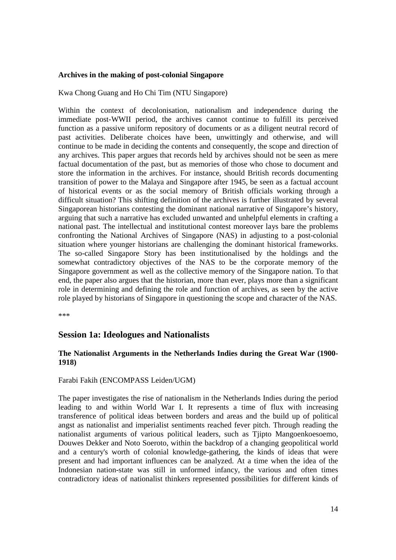## **Archives in the making of post-colonial Singapore**

Kwa Chong Guang and Ho Chi Tim (NTU Singapore)

Within the context of decolonisation, nationalism and independence during the immediate post-WWII period, the archives cannot continue to fulfill its perceived function as a passive uniform repository of documents or as a diligent neutral record of past activities. Deliberate choices have been, unwittingly and otherwise, and will continue to be made in deciding the contents and consequently, the scope and direction of any archives. This paper argues that records held by archives should not be seen as mere factual documentation of the past, but as memories of those who chose to document and store the information in the archives. For instance, should British records documenting transition of power to the Malaya and Singapore after 1945, be seen as a factual account of historical events or as the social memory of British officials working through a difficult situation? This shifting definition of the archives is further illustrated by several Singaporean historians contesting the dominant national narrative of Singapore's history, arguing that such a narrative has excluded unwanted and unhelpful elements in crafting a national past. The intellectual and institutional contest moreover lays bare the problems confronting the National Archives of Singapore (NAS) in adjusting to a post-colonial situation where younger historians are challenging the dominant historical frameworks. The so-called Singapore Story has been institutionalised by the holdings and the somewhat contradictory objectives of the NAS to be the corporate memory of the Singapore government as well as the collective memory of the Singapore nation. To that end, the paper also argues that the historian, more than ever, plays more than a significant role in determining and defining the role and function of archives, as seen by the active role played by historians of Singapore in questioning the scope and character of the NAS.

\*\*\*

## **Session 1a: Ideologues and Nationalists**

## **The Nationalist Arguments in the Netherlands Indies during the Great War (1900- 1918)**

#### Farabi Fakih (ENCOMPASS Leiden/UGM)

The paper investigates the rise of nationalism in the Netherlands Indies during the period leading to and within World War I. It represents a time of flux with increasing transference of political ideas between borders and areas and the build up of political angst as nationalist and imperialist sentiments reached fever pitch. Through reading the nationalist arguments of various political leaders, such as Tjipto Mangoenkoesoemo, Douwes Dekker and Noto Soeroto, within the backdrop of a changing geopolitical world and a century's worth of colonial knowledge-gathering, the kinds of ideas that were present and had important influences can be analyzed. At a time when the idea of the Indonesian nation-state was still in unformed infancy, the various and often times contradictory ideas of nationalist thinkers represented possibilities for different kinds of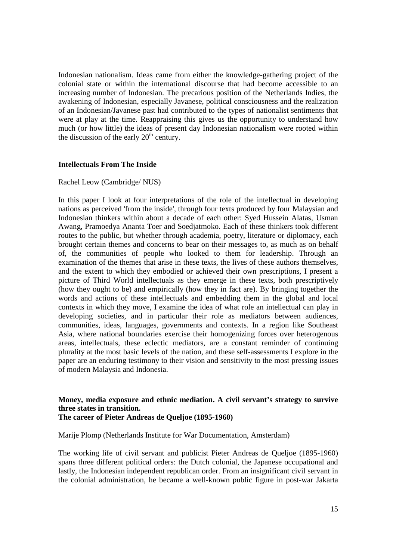Indonesian nationalism. Ideas came from either the knowledge-gathering project of the colonial state or within the international discourse that had become accessible to an increasing number of Indonesian. The precarious position of the Netherlands Indies, the awakening of Indonesian, especially Javanese, political consciousness and the realization of an Indonesian/Javanese past had contributed to the types of nationalist sentiments that were at play at the time. Reappraising this gives us the opportunity to understand how much (or how little) the ideas of present day Indonesian nationalism were rooted within the discussion of the early  $20<sup>th</sup>$  century.

#### **Intellectuals From The Inside**

#### Rachel Leow (Cambridge/ NUS)

In this paper I look at four interpretations of the role of the intellectual in developing nations as perceived 'from the inside', through four texts produced by four Malaysian and Indonesian thinkers within about a decade of each other: Syed Hussein Alatas, Usman Awang, Pramoedya Ananta Toer and Soedjatmoko. Each of these thinkers took different routes to the public, but whether through academia, poetry, literature or diplomacy, each brought certain themes and concerns to bear on their messages to, as much as on behalf of, the communities of people who looked to them for leadership. Through an examination of the themes that arise in these texts, the lives of these authors themselves, and the extent to which they embodied or achieved their own prescriptions, I present a picture of Third World intellectuals as they emerge in these texts, both prescriptively (how they ought to be) and empirically (how they in fact are). By bringing together the words and actions of these intellectuals and embedding them in the global and local contexts in which they move, I examine the idea of what role an intellectual can play in developing societies, and in particular their role as mediators between audiences, communities, ideas, languages, governments and contexts. In a region like Southeast Asia, where national boundaries exercise their homogenizing forces over heterogenous areas, intellectuals, these eclectic mediators, are a constant reminder of continuing plurality at the most basic levels of the nation, and these self-assessments I explore in the paper are an enduring testimony to their vision and sensitivity to the most pressing issues of modern Malaysia and Indonesia.

# **Money, media exposure and ethnic mediation. A civil servant's strategy to survive three states in transition.**

## **The career of Pieter Andreas de Queljoe (1895-1960)**

Marije Plomp (Netherlands Institute for War Documentation, Amsterdam)

The working life of civil servant and publicist Pieter Andreas de Queljoe (1895-1960) spans three different political orders: the Dutch colonial, the Japanese occupational and lastly, the Indonesian independent republican order. From an insignificant civil servant in the colonial administration, he became a well-known public figure in post-war Jakarta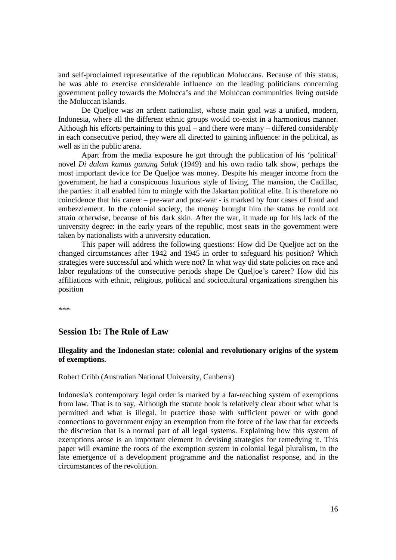and self-proclaimed representative of the republican Moluccans. Because of this status, he was able to exercise considerable influence on the leading politicians concerning government policy towards the Molucca's and the Moluccan communities living outside the Moluccan islands.

De Queljoe was an ardent nationalist, whose main goal was a unified, modern, Indonesia, where all the different ethnic groups would co-exist in a harmonious manner. Although his efforts pertaining to this goal – and there were many – differed considerably in each consecutive period, they were all directed to gaining influence: in the political, as well as in the public arena.

Apart from the media exposure he got through the publication of his 'political' novel *Di dalam kamus gunung Salak* (1949) and his own radio talk show, perhaps the most important device for De Queljoe was money. Despite his meager income from the government, he had a conspicuous luxurious style of living. The mansion, the Cadillac, the parties: it all enabled him to mingle with the Jakartan political elite. It is therefore no coincidence that his career – pre-war and post-war - is marked by four cases of fraud and embezzlement. In the colonial society, the money brought him the status he could not attain otherwise, because of his dark skin. After the war, it made up for his lack of the university degree: in the early years of the republic, most seats in the government were taken by nationalists with a university education.

This paper will address the following questions: How did De Queljoe act on the changed circumstances after 1942 and 1945 in order to safeguard his position? Which strategies were successful and which were not? In what way did state policies on race and labor regulations of the consecutive periods shape De Queljoe's career? How did his affiliations with ethnic, religious, political and sociocultural organizations strengthen his position

\*\*\*

# **Session 1b: The Rule of Law**

#### **Illegality and the Indonesian state: colonial and revolutionary origins of the system of exemptions.**

Robert Cribb (Australian National University, Canberra)

Indonesia's contemporary legal order is marked by a far-reaching system of exemptions from law. That is to say, Although the statute book is relatively clear about what what is permitted and what is illegal, in practice those with sufficient power or with good connections to government enjoy an exemption from the force of the law that far exceeds the discretion that is a normal part of all legal systems. Explaining how this system of exemptions arose is an important element in devising strategies for remedying it. This paper will examine the roots of the exemption system in colonial legal pluralism, in the late emergence of a development programme and the nationalist response, and in the circumstances of the revolution.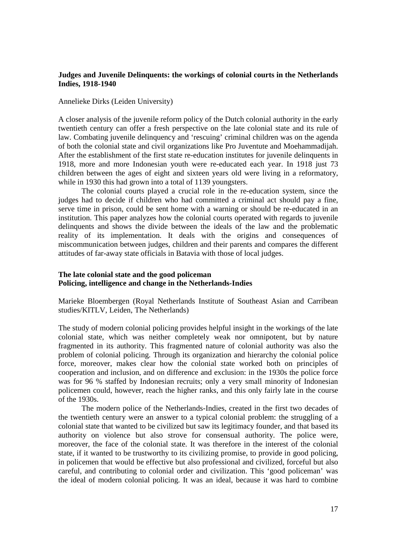### **Judges and Juvenile Delinquents: the workings of colonial courts in the Netherlands Indies, 1918-1940**

#### Annelieke Dirks (Leiden University)

A closer analysis of the juvenile reform policy of the Dutch colonial authority in the early twentieth century can offer a fresh perspective on the late colonial state and its rule of law. Combating juvenile delinquency and 'rescuing' criminal children was on the agenda of both the colonial state and civil organizations like Pro Juventute and Moehammadijah. After the establishment of the first state re-education institutes for juvenile delinquents in 1918, more and more Indonesian youth were re-educated each year. In 1918 just 73 children between the ages of eight and sixteen years old were living in a reformatory, while in 1930 this had grown into a total of 1139 youngsters.

The colonial courts played a crucial role in the re-education system, since the judges had to decide if children who had committed a criminal act should pay a fine, serve time in prison, could be sent home with a warning or should be re-educated in an institution. This paper analyzes how the colonial courts operated with regards to juvenile delinquents and shows the divide between the ideals of the law and the problematic reality of its implementation. It deals with the origins and consequences of miscommunication between judges, children and their parents and compares the different attitudes of far-away state officials in Batavia with those of local judges.

## **The late colonial state and the good policeman Policing, intelligence and change in the Netherlands-Indies**

Marieke Bloembergen (Royal Netherlands Institute of Southeast Asian and Carribean studies/KITLV, Leiden, The Netherlands)

The study of modern colonial policing provides helpful insight in the workings of the late colonial state, which was neither completely weak nor omnipotent, but by nature fragmented in its authority. This fragmented nature of colonial authority was also the problem of colonial policing. Through its organization and hierarchy the colonial police force, moreover, makes clear how the colonial state worked both on principles of cooperation and inclusion, and on difference and exclusion: in the 1930s the police force was for 96 % staffed by Indonesian recruits; only a very small minority of Indonesian policemen could, however, reach the higher ranks, and this only fairly late in the course of the 1930s.

 The modern police of the Netherlands-Indies, created in the first two decades of the twentieth century were an answer to a typical colonial problem: the struggling of a colonial state that wanted to be civilized but saw its legitimacy founder, and that based its authority on violence but also strove for consensual authority. The police were, moreover, the face of the colonial state. It was therefore in the interest of the colonial state, if it wanted to be trustworthy to its civilizing promise, to provide in good policing, in policemen that would be effective but also professional and civilized, forceful but also careful, and contributing to colonial order and civilization. This 'good policeman' was the ideal of modern colonial policing. It was an ideal, because it was hard to combine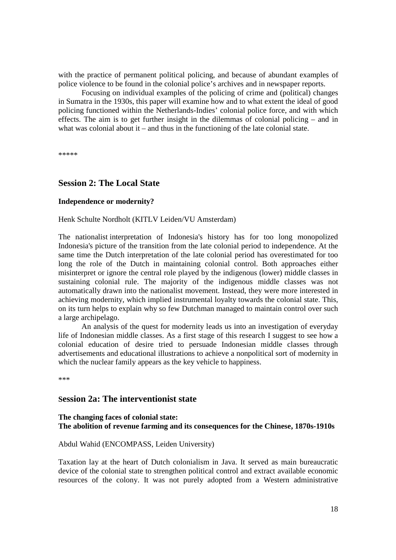with the practice of permanent political policing, and because of abundant examples of police violence to be found in the colonial police's archives and in newspaper reports.

 Focusing on individual examples of the policing of crime and (political) changes in Sumatra in the 1930s, this paper will examine how and to what extent the ideal of good policing functioned within the Netherlands-Indies' colonial police force, and with which effects. The aim is to get further insight in the dilemmas of colonial policing – and in what was colonial about it – and thus in the functioning of the late colonial state.

\*\*\*\*\*

# **Session 2: The Local State**

### **Independence or modernity?**

Henk Schulte Nordholt (KITLV Leiden/VU Amsterdam)

The nationalist interpretation of Indonesia's history has for too long monopolized Indonesia's picture of the transition from the late colonial period to independence. At the same time the Dutch interpretation of the late colonial period has overestimated for too long the role of the Dutch in maintaining colonial control. Both approaches either misinterpret or ignore the central role played by the indigenous (lower) middle classes in sustaining colonial rule. The majority of the indigenous middle classes was not automatically drawn into the nationalist movement. Instead, they were more interested in achieving modernity, which implied instrumental loyalty towards the colonial state. This, on its turn helps to explain why so few Dutchman managed to maintain control over such a large archipelago.

An analysis of the quest for modernity leads us into an investigation of everyday life of Indonesian middle classes. As a first stage of this research I suggest to see how a colonial education of desire tried to persuade Indonesian middle classes through advertisements and educational illustrations to achieve a nonpolitical sort of modernity in which the nuclear family appears as the key vehicle to happiness.

\*\*\*

## **Session 2a: The interventionist state**

#### **The changing faces of colonial state: The abolition of revenue farming and its consequences for the Chinese, 1870s-1910s**

#### Abdul Wahid (ENCOMPASS, Leiden University)

Taxation lay at the heart of Dutch colonialism in Java. It served as main bureaucratic device of the colonial state to strengthen political control and extract available economic resources of the colony. It was not purely adopted from a Western administrative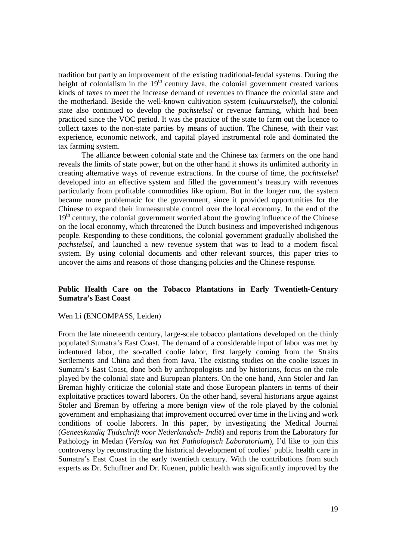tradition but partly an improvement of the existing traditional-feudal systems. During the height of colonialism in the  $19<sup>th</sup>$  century Java, the colonial government created various kinds of taxes to meet the increase demand of revenues to finance the colonial state and the motherland. Beside the well-known cultivation system (*cultuurstelsel*), the colonial state also continued to develop the *pachstelsel* or revenue farming, which had been practiced since the VOC period. It was the practice of the state to farm out the licence to collect taxes to the non-state parties by means of auction. The Chinese, with their vast experience, economic network, and capital played instrumental role and dominated the tax farming system.

The alliance between colonial state and the Chinese tax farmers on the one hand reveals the limits of state power, but on the other hand it shows its unlimited authority in creating alternative ways of revenue extractions. In the course of time, the *pachtstelsel* developed into an effective system and filled the government's treasury with revenues particularly from profitable commodities like opium. But in the longer run, the system became more problematic for the government, since it provided opportunities for the Chinese to expand their immeasurable control over the local economy. In the end of the  $19<sup>th</sup>$  century, the colonial government worried about the growing influence of the Chinese on the local economy, which threatened the Dutch business and impoverished indigenous people. Responding to these conditions, the colonial government gradually abolished the *pachstelsel,* and launched a new revenue system that was to lead to a modern fiscal system. By using colonial documents and other relevant sources, this paper tries to uncover the aims and reasons of those changing policies and the Chinese response.

## **Public Health Care on the Tobacco Plantations in Early Twentieth-Century Sumatra's East Coast**

#### Wen Li (ENCOMPASS, Leiden)

From the late nineteenth century, large-scale tobacco plantations developed on the thinly populated Sumatra's East Coast. The demand of a considerable input of labor was met by indentured labor, the so-called coolie labor, first largely coming from the Straits Settlements and China and then from Java. The existing studies on the coolie issues in Sumatra's East Coast, done both by anthropologists and by historians, focus on the role played by the colonial state and European planters. On the one hand, Ann Stoler and Jan Breman highly criticize the colonial state and those European planters in terms of their exploitative practices toward laborers. On the other hand, several historians argue against Stoler and Breman by offering a more benign view of the role played by the colonial government and emphasizing that improvement occurred over time in the living and work conditions of coolie laborers. In this paper, by investigating the Medical Journal (*Geneeskundig Tijdschrift voor Nederlandsch- Indi*ё) and reports from the Laboratory for Pathology in Medan (*Verslag van het Pathologisch Laboratorium*), I'd like to join this controversy by reconstructing the historical development of coolies' public health care in Sumatra's East Coast in the early twentieth century. With the contributions from such experts as Dr. Schuffner and Dr. Kuenen, public health was significantly improved by the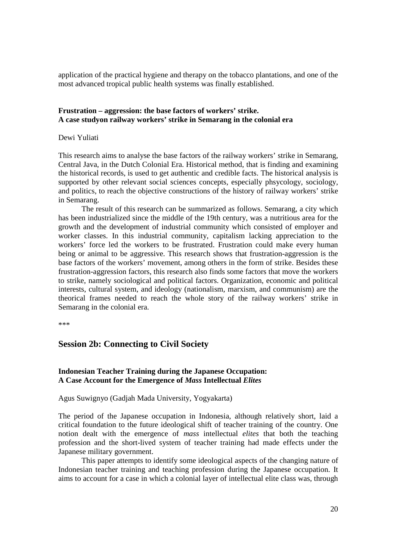application of the practical hygiene and therapy on the tobacco plantations, and one of the most advanced tropical public health systems was finally established.

## **Frustration – aggression: the base factors of workers' strike. A case studyon railway workers' strike in Semarang in the colonial era**

Dewi Yuliati

This research aims to analyse the base factors of the railway workers' strike in Semarang, Central Java, in the Dutch Colonial Era. Historical method, that is finding and examining the historical records, is used to get authentic and credible facts. The historical analysis is supported by other relevant social sciences concepts, especially phsycology, sociology, and politics, to reach the objective constructions of the history of railway workers' strike in Semarang.

The result of this research can be summarized as follows. Semarang, a city which has been industrialized since the middle of the 19th century, was a nutritious area for the growth and the development of industrial community which consisted of employer and worker classes. In this industrial community, capitalism lacking appreciation to the workers' force led the workers to be frustrated. Frustration could make every human being or animal to be aggressive. This research shows that frustration-aggression is the base factors of the workers' movement, among others in the form of strike. Besides these frustration-aggression factors, this research also finds some factors that move the workers to strike, namely sociological and political factors. Organization, economic and political interests, cultural system, and ideology (nationalism, marxism, and communism) are the theorical frames needed to reach the whole story of the railway workers' strike in Semarang in the colonial era.

\*\*\*

# **Session 2b: Connecting to Civil Society**

## **Indonesian Teacher Training during the Japanese Occupation: A Case Account for the Emergence of** *Mass* **Intellectual** *Elites*

Agus Suwignyo (Gadjah Mada University, Yogyakarta)

The period of the Japanese occupation in Indonesia, although relatively short, laid a critical foundation to the future ideological shift of teacher training of the country. One notion dealt with the emergence of *mass* intellectual *elites* that both the teaching profession and the short-lived system of teacher training had made effects under the Japanese military government.

 This paper attempts to identify some ideological aspects of the changing nature of Indonesian teacher training and teaching profession during the Japanese occupation. It aims to account for a case in which a colonial layer of intellectual elite class was, through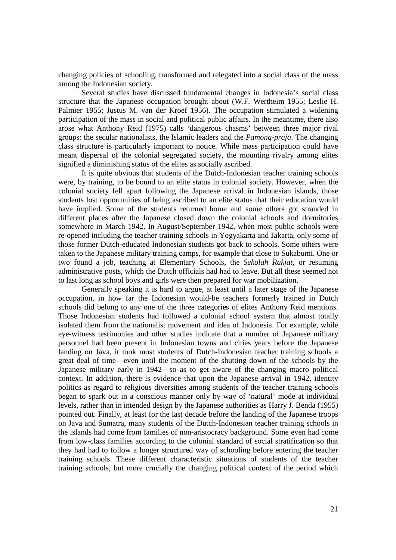changing policies of schooling, transformed and relegated into a social class of the mass among the Indonesian society.

 Several studies have discussed fundamental changes in Indonesia's social class structure that the Japanese occupation brought about (W.F. Wertheim 1955; Leslie H. Palmier 1955; Justus M. van der Kroef 1956). The occupation stimulated a widening participation of the mass in social and political public affairs. In the meantime, there also arose what Anthony Reid (1975) calls 'dangerous chasms' between three major rival groups: the secular nationalists, the Islamic leaders and the *Pamong-praja*. The changing class structure is particularly important to notice. While mass participation could have meant dispersal of the colonial segregated society, the mounting rivalry among elites signified a diminishing status of the elites as socially ascribed.

 It is quite obvious that students of the Dutch-Indonesian teacher training schools were, by training, to be bound to an elite status in colonial society. However, when the colonial society fell apart following the Japanese arrival in Indonesian islands, those students lost opportunities of being ascribed to an elite status that their education would have implied. Some of the students returned home and some others got stranded in different places after the Japanese closed down the colonial schools and dormitories somewhere in March 1942. In August/September 1942, when most public schools were re-opened including the teacher training schools in Yogyakarta and Jakarta, only some of those former Dutch-educated Indonesian students got back to schools. Some others were taken to the Japanese military training camps, for example that close to Sukabumi. One or two found a job, teaching at Elementary Schools, the *Sekolah Rakjat*, or resuming administrative posts, which the Dutch officials had had to leave. But all these seemed not to last long as school boys and girls were then prepared for war mobilization.

 Generally speaking it is hard to argue, at least until a later stage of the Japanese occupation, in how far the Indonesian would-be teachers formerly trained in Dutch schools did belong to any one of the three categories of elites Anthony Reid mentions. Those Indonesian students had followed a colonial school system that almost totally isolated them from the nationalist movement and idea of Indonesia. For example, while eye-witness testimonies and other studies indicate that a number of Japanese military personnel had been present in Indonesian towns and cities years before the Japanese landing on Java, it took most students of Dutch-Indonesian teacher training schools a great deal of time—even until the moment of the shutting down of the schools by the Japanese military early in 1942—so as to get aware of the changing macro political context. In addition, there is evidence that upon the Japanese arrival in 1942, identity politics as regard to religious diversities among students of the teacher training schools began to spark out in a conscious manner only by way of 'natural' mode at individual levels, rather than in intended design by the Japanese authorities as Harry J. Benda (1955) pointed out. Finally, at least for the last decade before the landing of the Japanese troops on Java and Sumatra, many students of the Dutch-Indonesian teacher training schools in the islands had come from families of non-aristocracy background. Some even had come from low-class families according to the colonial standard of social stratification so that they had had to follow a longer structured way of schooling before entering the teacher training schools. These different characteristic situations of students of the teacher training schools, but more crucially the changing political context of the period which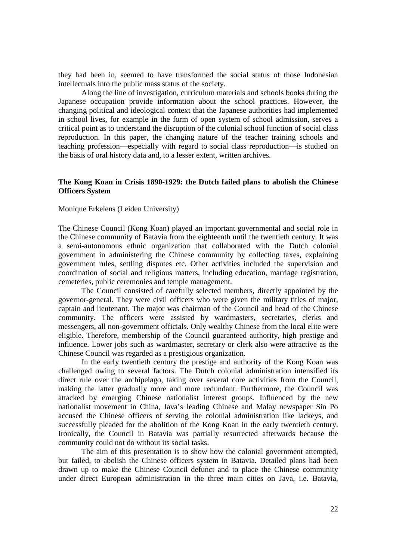they had been in, seemed to have transformed the social status of those Indonesian intellectuals into the public mass status of the society.

 Along the line of investigation, curriculum materials and schools books during the Japanese occupation provide information about the school practices. However, the changing political and ideological context that the Japanese authorities had implemented in school lives, for example in the form of open system of school admission, serves a critical point as to understand the disruption of the colonial school function of social class reproduction. In this paper, the changing nature of the teacher training schools and teaching profession—especially with regard to social class reproduction—is studied on the basis of oral history data and, to a lesser extent, written archives.

#### **The Kong Koan in Crisis 1890-1929: the Dutch failed plans to abolish the Chinese Officers System**

#### Monique Erkelens (Leiden University)

The Chinese Council (Kong Koan) played an important governmental and social role in the Chinese community of Batavia from the eighteenth until the twentieth century. It was a semi-autonomous ethnic organization that collaborated with the Dutch colonial government in administering the Chinese community by collecting taxes, explaining government rules, settling disputes etc. Other activities included the supervision and coordination of social and religious matters, including education, marriage registration, cemeteries, public ceremonies and temple management.

 The Council consisted of carefully selected members, directly appointed by the governor-general. They were civil officers who were given the military titles of major, captain and lieutenant. The major was chairman of the Council and head of the Chinese community. The officers were assisted by wardmasters, secretaries, clerks and messengers, all non-government officials. Only wealthy Chinese from the local elite were eligible. Therefore, membership of the Council guaranteed authority, high prestige and influence. Lower jobs such as wardmaster, secretary or clerk also were attractive as the Chinese Council was regarded as a prestigious organization.

 In the early twentieth century the prestige and authority of the Kong Koan was challenged owing to several factors. The Dutch colonial administration intensified its direct rule over the archipelago, taking over several core activities from the Council, making the latter gradually more and more redundant. Furthermore, the Council was attacked by emerging Chinese nationalist interest groups. Influenced by the new nationalist movement in China, Java's leading Chinese and Malay newspaper Sin Po accused the Chinese officers of serving the colonial administration like lackeys, and successfully pleaded for the abolition of the Kong Koan in the early twentieth century. Ironically, the Council in Batavia was partially resurrected afterwards because the community could not do without its social tasks.

 The aim of this presentation is to show how the colonial government attempted, but failed, to abolish the Chinese officers system in Batavia. Detailed plans had been drawn up to make the Chinese Council defunct and to place the Chinese community under direct European administration in the three main cities on Java, i.e. Batavia,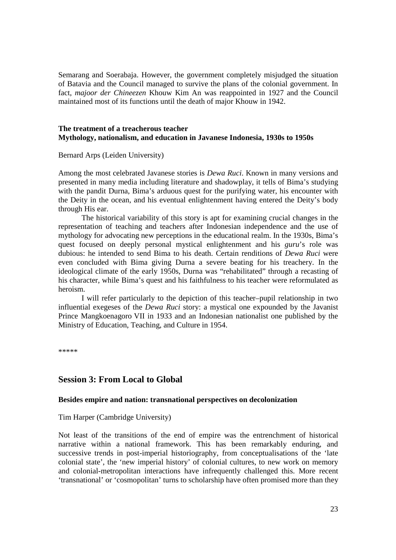Semarang and Soerabaja. However, the government completely misjudged the situation of Batavia and the Council managed to survive the plans of the colonial government. In fact, *majoor der Chineezen* Khouw Kim An was reappointed in 1927 and the Council maintained most of its functions until the death of major Khouw in 1942.

### **The treatment of a treacherous teacher Mythology, nationalism, and education in Javanese Indonesia, 1930s to 1950s**

Bernard Arps (Leiden University)

Among the most celebrated Javanese stories is *Dewa Ruci*. Known in many versions and presented in many media including literature and shadowplay, it tells of Bima's studying with the pandit Durna, Bima's arduous quest for the purifying water, his encounter with the Deity in the ocean, and his eventual enlightenment having entered the Deity's body through His ear.

 The historical variability of this story is apt for examining crucial changes in the representation of teaching and teachers after Indonesian independence and the use of mythology for advocating new perceptions in the educational realm. In the 1930s, Bima's quest focused on deeply personal mystical enlightenment and his *guru*'s role was dubious: he intended to send Bima to his death. Certain renditions of *Dewa Ruci* were even concluded with Bima giving Durna a severe beating for his treachery. In the ideological climate of the early 1950s, Durna was "rehabilitated" through a recasting of his character, while Bima's quest and his faithfulness to his teacher were reformulated as heroism.

 I will refer particularly to the depiction of this teacher–pupil relationship in two influential exegeses of the *Dewa Ruci* story: a mystical one expounded by the Javanist Prince Mangkoenagoro VII in 1933 and an Indonesian nationalist one published by the Ministry of Education, Teaching, and Culture in 1954.

\*\*\*\*\*

# **Session 3: From Local to Global**

#### **Besides empire and nation: transnational perspectives on decolonization**

Tim Harper (Cambridge University)

Not least of the transitions of the end of empire was the entrenchment of historical narrative within a national framework. This has been remarkably enduring, and successive trends in post-imperial historiography, from conceptualisations of the 'late colonial state', the 'new imperial history' of colonial cultures, to new work on memory and colonial-metropolitan interactions have infrequently challenged this. More recent 'transnational' or 'cosmopolitan' turns to scholarship have often promised more than they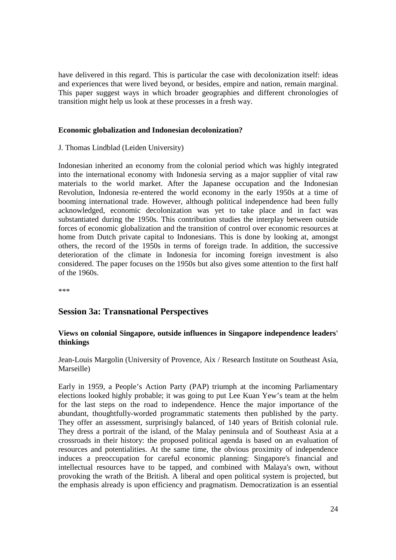have delivered in this regard. This is particular the case with decolonization itself: ideas and experiences that were lived beyond, or besides, empire and nation, remain marginal. This paper suggest ways in which broader geographies and different chronologies of transition might help us look at these processes in a fresh way.

## **Economic globalization and Indonesian decolonization?**

J. Thomas Lindblad (Leiden University)

Indonesian inherited an economy from the colonial period which was highly integrated into the international economy with Indonesia serving as a major supplier of vital raw materials to the world market. After the Japanese occupation and the Indonesian Revolution, Indonesia re-entered the world economy in the early 1950s at a time of booming international trade. However, although political independence had been fully acknowledged, economic decolonization was yet to take place and in fact was substantiated during the 1950s. This contribution studies the interplay between outside forces of economic globalization and the transition of control over economic resources at home from Dutch private capital to Indonesians. This is done by looking at, amongst others, the record of the 1950s in terms of foreign trade. In addition, the successive deterioration of the climate in Indonesia for incoming foreign investment is also considered. The paper focuses on the 1950s but also gives some attention to the first half of the 1960s.

\*\*\*

# **Session 3a: Transnational Perspectives**

## **Views on colonial Singapore, outside influences in Singapore independence leaders' thinkings**

Jean-Louis Margolin (University of Provence, Aix / Research Institute on Southeast Asia, Marseille)

Early in 1959, a People's Action Party (PAP) triumph at the incoming Parliamentary elections looked highly probable; it was going to put Lee Kuan Yew's team at the helm for the last steps on the road to independence. Hence the major importance of the abundant, thoughtfully-worded programmatic statements then published by the party. They offer an assessment, surprisingly balanced, of 140 years of British colonial rule. They dress a portrait of the island, of the Malay peninsula and of Southeast Asia at a crossroads in their history: the proposed political agenda is based on an evaluation of resources and potentialities. At the same time, the obvious proximity of independence induces a preoccupation for careful economic planning: Singapore's financial and intellectual resources have to be tapped, and combined with Malaya's own, without provoking the wrath of the British. A liberal and open political system is projected, but the emphasis already is upon efficiency and pragmatism. Democratization is an essential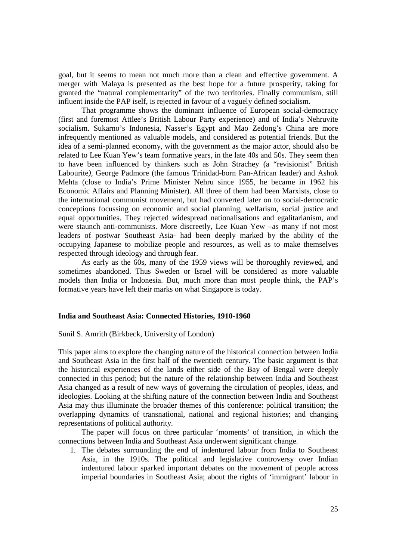goal, but it seems to mean not much more than a clean and effective government. A merger with Malaya is presented as the best hope for a future prosperity, taking for granted the "natural complementarity" of the two territories. Finally communism, still influent inside the PAP iself, is rejected in favour of a vaguely defined socialism.

 That programme shows the dominant influence of European social-democracy (first and foremost Attlee's British Labour Party experience) and of India's Nehruvite socialism. Sukarno's Indonesia, Nasser's Egypt and Mao Zedong's China are more infrequently mentioned as valuable models, and considered as potential friends. But the idea of a semi-planned economy, with the government as the major actor, should also be related to Lee Kuan Yew's team formative years, in the late 40s and 50s. They seem then to have been influenced by thinkers such as John Strachey (a "revisionist" British Labourite*)*, George Padmore (the famous Trinidad-born Pan-African leader) and Ashok Mehta (close to India's Prime Minister Nehru since 1955, he became in 1962 his Economic Affairs and Planning Minister). All three of them had been Marxists, close to the international communist movement, but had converted later on to social-democratic conceptions focussing on economic and social planning, welfarism, social justice and equal opportunities. They rejected widespread nationalisations and egalitarianism, and were staunch anti-communists. More discreetly, Lee Kuan Yew –as many if not most leaders of postwar Southeast Asia- had been deeply marked by the ability of the occupying Japanese to mobilize people and resources, as well as to make themselves respected through ideology and through fear.

 As early as the 60s, many of the 1959 views will be thoroughly reviewed, and sometimes abandoned. Thus Sweden or Israel will be considered as more valuable models than India or Indonesia. But, much more than most people think, the PAP's formative years have left their marks on what Singapore is today.

#### **India and Southeast Asia: Connected Histories, 1910-1960**

#### Sunil S. Amrith (Birkbeck, University of London)

This paper aims to explore the changing nature of the historical connection between India and Southeast Asia in the first half of the twentieth century. The basic argument is that the historical experiences of the lands either side of the Bay of Bengal were deeply connected in this period; but the nature of the relationship between India and Southeast Asia changed as a result of new ways of governing the circulation of peoples, ideas, and ideologies. Looking at the shifting nature of the connection between India and Southeast Asia may thus illuminate the broader themes of this conference: political transition; the overlapping dynamics of transnational, national and regional histories; and changing representations of political authority.

The paper will focus on three particular 'moments' of transition, in which the connections between India and Southeast Asia underwent significant change.

1. The debates surrounding the end of indentured labour from India to Southeast Asia, in the 1910s. The political and legislative controversy over Indian indentured labour sparked important debates on the movement of people across imperial boundaries in Southeast Asia; about the rights of 'immigrant' labour in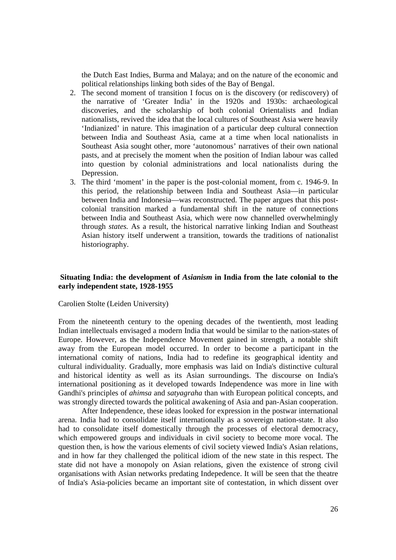the Dutch East Indies, Burma and Malaya; and on the nature of the economic and political relationships linking both sides of the Bay of Bengal.

- 2. The second moment of transition I focus on is the discovery (or rediscovery) of the narrative of 'Greater India' in the 1920s and 1930s: archaeological discoveries, and the scholarship of both colonial Orientalists and Indian nationalists, revived the idea that the local cultures of Southeast Asia were heavily 'Indianized' in nature. This imagination of a particular deep cultural connection between India and Southeast Asia, came at a time when local nationalists in Southeast Asia sought other, more 'autonomous' narratives of their own national pasts, and at precisely the moment when the position of Indian labour was called into question by colonial administrations and local nationalists during the Depression.
- 3. The third 'moment' in the paper is the post-colonial moment, from c. 1946-9. In this period, the relationship between India and Southeast Asia—in particular between India and Indonesia—was reconstructed. The paper argues that this postcolonial transition marked a fundamental shift in the nature of connections between India and Southeast Asia, which were now channelled overwhelmingly through *states.* As a result, the historical narrative linking Indian and Southeast Asian history itself underwent a transition, towards the traditions of nationalist historiography.

### **Situating India: the development of** *Asianism* **in India from the late colonial to the early independent state, 1928-1955**

Carolien Stolte (Leiden University)

From the nineteenth century to the opening decades of the twentienth, most leading Indian intellectuals envisaged a modern India that would be similar to the nation-states of Europe. However, as the Independence Movement gained in strength, a notable shift away from the European model occurred. In order to become a participant in the international comity of nations, India had to redefine its geographical identity and cultural individuality. Gradually, more emphasis was laid on India's distinctive cultural and historical identity as well as its Asian surroundings. The discourse on India's international positioning as it developed towards Independence was more in line with Gandhi's principles of *ahimsa* and *satyagraha* than with European political concepts, and was strongly directed towards the political awakening of Asia and pan-Asian cooperation.

After Independence, these ideas looked for expression in the postwar international arena. India had to consolidate itself internationally as a sovereign nation-state. It also had to consolidate itself domestically through the processes of electoral democracy, which empowered groups and individuals in civil society to become more vocal. The question then, is how the various elements of civil society viewed India's Asian relations, and in how far they challenged the political idiom of the new state in this respect. The state did not have a monopoly on Asian relations, given the existence of strong civil organisations with Asian networks predating Indepedence. It will be seen that the theatre of India's Asia-policies became an important site of contestation, in which dissent over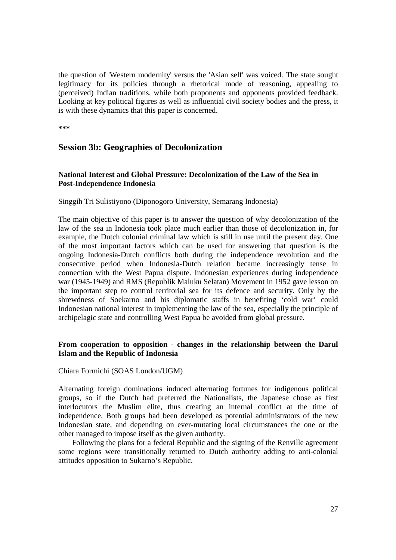the question of 'Western modernity' versus the 'Asian self' was voiced. The state sought legitimacy for its policies through a rhetorical mode of reasoning, appealing to (perceived) Indian traditions, while both proponents and opponents provided feedback. Looking at key political figures as well as influential civil society bodies and the press, it is with these dynamics that this paper is concerned.

**\*\*\*** 

# **Session 3b: Geographies of Decolonization**

## **National Interest and Global Pressure: Decolonization of the Law of the Sea in Post-Independence Indonesia**

## Singgih Tri Sulistiyono (Diponogoro University, Semarang Indonesia)

The main objective of this paper is to answer the question of why decolonization of the law of the sea in Indonesia took place much earlier than those of decolonization in, for example, the Dutch colonial criminal law which is still in use until the present day. One of the most important factors which can be used for answering that question is the ongoing Indonesia-Dutch conflicts both during the independence revolution and the consecutive period when Indonesia-Dutch relation became increasingly tense in connection with the West Papua dispute. Indonesian experiences during independence war (1945-1949) and RMS (Republik Maluku Selatan) Movement in 1952 gave lesson on the important step to control territorial sea for its defence and security. Only by the shrewdness of Soekarno and his diplomatic staffs in benefiting 'cold war' could Indonesian national interest in implementing the law of the sea, especially the principle of archipelagic state and controlling West Papua be avoided from global pressure.

## **From cooperation to opposition - changes in the relationship between the Darul Islam and the Republic of Indonesia**

Chiara Formichi (SOAS London/UGM)

Alternating foreign dominations induced alternating fortunes for indigenous political groups, so if the Dutch had preferred the Nationalists, the Japanese chose as first interlocutors the Muslim elite, thus creating an internal conflict at the time of independence. Both groups had been developed as potential administrators of the new Indonesian state, and depending on ever-mutating local circumstances the one or the other managed to impose itself as the given authority.

Following the plans for a federal Republic and the signing of the Renville agreement some regions were transitionally returned to Dutch authority adding to anti-colonial attitudes opposition to Sukarno's Republic.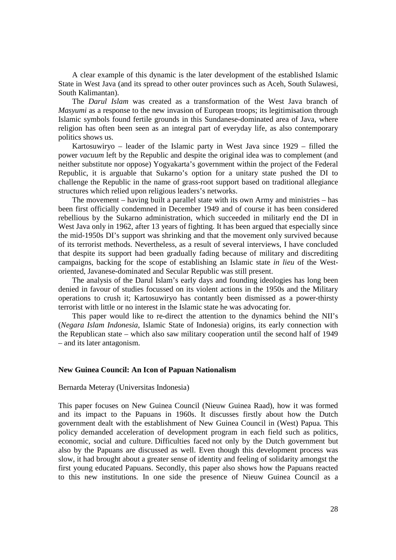A clear example of this dynamic is the later development of the established Islamic State in West Java (and its spread to other outer provinces such as Aceh, South Sulawesi, South Kalimantan).

The *Darul Islam* was created as a transformation of the West Java branch of *Masyumi* as a response to the new invasion of European troops; its legitimisation through Islamic symbols found fertile grounds in this Sundanese-dominated area of Java, where religion has often been seen as an integral part of everyday life, as also contemporary politics shows us.

Kartosuwiryo – leader of the Islamic party in West Java since 1929 – filled the power *vacuum* left by the Republic and despite the original idea was to complement (and neither substitute nor oppose) Yogyakarta's government within the project of the Federal Republic, it is arguable that Sukarno's option for a unitary state pushed the DI to challenge the Republic in the name of grass-root support based on traditional allegiance structures which relied upon religious leaders's networks.

The movement – having built a parallel state with its own Army and ministries – has been first officially condemned in December 1949 and of course it has been considered rebellious by the Sukarno administration, which succeeded in militarly end the DI in West Java only in 1962, after 13 years of fighting. It has been argued that especially since the mid-1950s DI's support was shrinking and that the movement only survived because of its terrorist methods. Nevertheless, as a result of several interviews, I have concluded that despite its support had been gradually fading because of military and discrediting campaigns, backing for the scope of establishing an Islamic state *in lieu* of the Westoriented, Javanese-dominated and Secular Republic was still present.

The analysis of the Darul Islam's early days and founding ideologies has long been denied in favour of studies focussed on its violent actions in the 1950s and the Military operations to crush it; Kartosuwiryo has contantly been dismissed as a power-thirsty terrorist with little or no interest in the Islamic state he was advocating for.

This paper would like to re-direct the attention to the dynamics behind the NII's (*Negara Islam Indonesia*, Islamic State of Indonesia) origins, its early connection with the Republican state – which also saw military cooperation until the second half of 1949 – and its later antagonism.

#### **New Guinea Council: An Icon of Papuan Nationalism**

#### Bernarda Meteray (Universitas Indonesia)

This paper focuses on New Guinea Council (Nieuw Guinea Raad), how it was formed and its impact to the Papuans in 1960s. It discusses firstly about how the Dutch government dealt with the establishment of New Guinea Council in (West) Papua. This policy demanded acceleration of development program in each field such as politics, economic, social and culture. Difficulties faced not only by the Dutch government but also by the Papuans are discussed as well. Even though this development process was slow, it had brought about a greater sense of identity and feeling of solidarity amongst the first young educated Papuans. Secondly, this paper also shows how the Papuans reacted to this new institutions. In one side the presence of Nieuw Guinea Council as a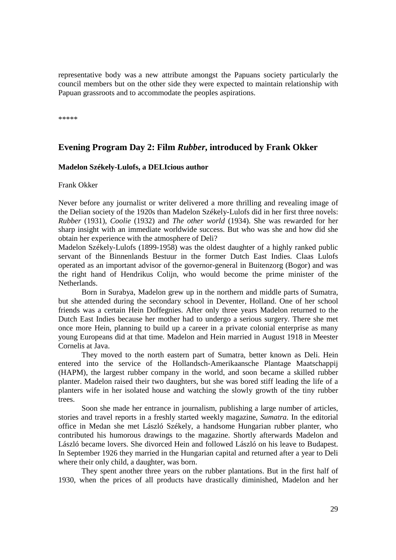representative body was a new attribute amongst the Papuans society particularly the council members but on the other side they were expected to maintain relationship with Papuan grassroots and to accommodate the peoples aspirations.

\*\*\*\*\*

# **Evening Program Day 2: Film** *Rubber***, introduced by Frank Okker**

#### **Madelon Székely-Lulofs, a DELIcious author**

Frank Okker

Never before any journalist or writer delivered a more thrilling and revealing image of the Delian society of the 1920s than Madelon Székely-Lulofs did in her first three novels: *Rubber* (1931), *Coolie* (1932) and *The other world* (1934). She was rewarded for her sharp insight with an immediate worldwide success. But who was she and how did she obtain her experience with the atmosphere of Deli?

Madelon Székely-Lulofs (1899-1958) was the oldest daughter of a highly ranked public servant of the Binnenlands Bestuur in the former Dutch East Indies. Claas Lulofs operated as an important advisor of the governor-general in Buitenzorg (Bogor) and was the right hand of Hendrikus Colijn, who would become the prime minister of the Netherlands.

Born in Surabya, Madelon grew up in the northern and middle parts of Sumatra, but she attended during the secondary school in Deventer, Holland. One of her school friends was a certain Hein Doffegnies. After only three years Madelon returned to the Dutch East Indies because her mother had to undergo a serious surgery. There she met once more Hein, planning to build up a career in a private colonial enterprise as many young Europeans did at that time. Madelon and Hein married in August 1918 in Meester Cornelis at Java.

They moved to the north eastern part of Sumatra, better known as Deli. Hein entered into the service of the Hollandsch-Amerikaansche Plantage Maatschappij (HAPM), the largest rubber company in the world, and soon became a skilled rubber planter. Madelon raised their two daughters, but she was bored stiff leading the life of a planters wife in her isolated house and watching the slowly growth of the tiny rubber trees.

Soon she made her entrance in journalism, publishing a large number of articles, stories and travel reports in a freshly started weekly magazine, *Sumatra.* In the editorial office in Medan she met László Székely, a handsome Hungarian rubber planter, who contributed his humorous drawings to the magazine. Shortly afterwards Madelon and László became lovers. She divorced Hein and followed László on his leave to Budapest. In September 1926 they married in the Hungarian capital and returned after a year to Deli where their only child, a daughter, was born.

They spent another three years on the rubber plantations. But in the first half of 1930, when the prices of all products have drastically diminished, Madelon and her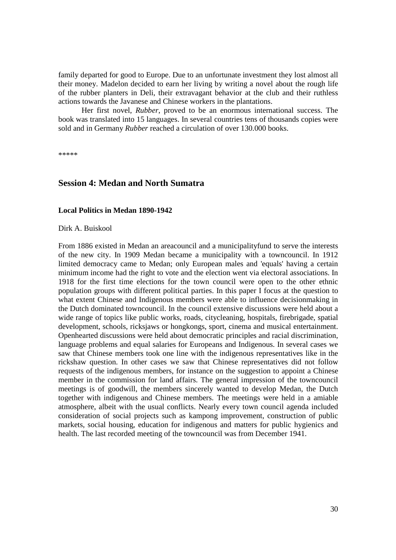family departed for good to Europe. Due to an unfortunate investment they lost almost all their money. Madelon decided to earn her living by writing a novel about the rough life of the rubber planters in Deli, their extravagant behavior at the club and their ruthless actions towards the Javanese and Chinese workers in the plantations.

Her first novel, *Rubber*, proved to be an enormous international success. The book was translated into 15 languages. In several countries tens of thousands copies were sold and in Germany *Rubber* reached a circulation of over 130.000 books.

\*\*\*\*\*

# **Session 4: Medan and North Sumatra**

#### **Local Politics in Medan 1890-1942**

Dirk A. Buiskool

From 1886 existed in Medan an areacouncil and a municipalityfund to serve the interests of the new city. In 1909 Medan became a municipality with a towncouncil. In 1912 limited democracy came to Medan; only European males and 'equals' having a certain minimum income had the right to vote and the election went via electoral associations. In 1918 for the first time elections for the town council were open to the other ethnic population groups with different political parties. In this paper I focus at the question to what extent Chinese and Indigenous members were able to influence decisionmaking in the Dutch dominated towncouncil. In the council extensive discussions were held about a wide range of topics like public works, roads, citycleaning, hospitals, firebrigade, spatial development, schools, ricksjaws or hongkongs, sport, cinema and musical entertainment. Openhearted discussions were held about democratic principles and racial discrimination, language problems and equal salaries for Europeans and Indigenous. In several cases we saw that Chinese members took one line with the indigenous representatives like in the rickshaw question. In other cases we saw that Chinese representatives did not follow requests of the indigenous members, for instance on the suggestion to appoint a Chinese member in the commission for land affairs. The general impression of the towncouncil meetings is of goodwill, the members sincerely wanted to develop Medan, the Dutch together with indigenous and Chinese members. The meetings were held in a amiable atmosphere, albeit with the usual conflicts. Nearly every town council agenda included consideration of social projects such as kampong improvement, construction of public markets, social housing, education for indigenous and matters for public hygienics and health. The last recorded meeting of the towncouncil was from December 1941.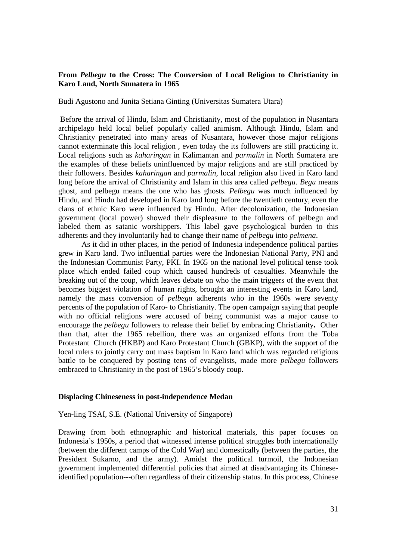## **From** *Pelbegu* **to the Cross: The Conversion of Local Religion to Christianity in Karo Land, North Sumatera in 1965**

Budi Agustono and Junita Setiana Ginting (Universitas Sumatera Utara)

 Before the arrival of Hindu, Islam and Christianity, most of the population in Nusantara archipelago held local belief popularly called animism. Although Hindu, Islam and Christianity penetrated into many areas of Nusantara, however those major religions cannot exterminate this local religion , even today the its followers are still practicing it. Local religions such as *kaharingan* in Kalimantan and *parmalin* in North Sumatera are the examples of these beliefs uninfluenced by major religions and are still practiced by their followers. Besides *kaharingan* and *parmalin*, local religion also lived in Karo land long before the arrival of Christianity and Islam in this area called *pelbegu*. *Begu* means ghost, and pelbegu means the one who has ghosts. *Pelbegu* was much influenced by Hindu, and Hindu had developed in Karo land long before the twentieth century, even the clans of ethnic Karo were influenced by Hindu. After decolonization, the Indonesian government (local power) showed their displeasure to the followers of pelbegu and labeled them as satanic worshippers. This label gave psychological burden to this adherents and they involuntarily had to change their name of *pelbegu* into *pelmena*.

As it did in other places, in the period of Indonesia independence political parties grew in Karo land. Two influential parties were the Indonesian National Party, PNI and the Indonesian Communist Party, PKI. In 1965 on the national level political tense took place which ended failed coup which caused hundreds of casualties. Meanwhile the breaking out of the coup, which leaves debate on who the main triggers of the event that becomes biggest violation of human rights, brought an interesting events in Karo land, namely the mass conversion of *pelbegu* adherents who in the 1960s were seventy percents of the population of Karo- to Christianity. The open campaign saying that people with no official religions were accused of being communist was a major cause to encourage the *pelbegu* followers to release their belief by embracing Christianity**.** Other than that, after the 1965 rebellion, there was an organized efforts from the Toba Protestant Church (HKBP) and Karo Protestant Church (GBKP), with the support of the local rulers to jointly carry out mass baptism in Karo land which was regarded religious battle to be conquered by posting tens of evangelists, made more *pelbegu* followers embraced to Christianity in the post of 1965's bloody coup.

#### **Displacing Chineseness in post-independence Medan**

#### Yen-ling TSAI, S.E. (National University of Singapore)

Drawing from both ethnographic and historical materials, this paper focuses on Indonesia's 1950s, a period that witnessed intense political struggles both internationally (between the different camps of the Cold War) and domestically (between the parties, the President Sukarno, and the army). Amidst the political turmoil, the Indonesian government implemented differential policies that aimed at disadvantaging its Chineseidentified population---often regardless of their citizenship status. In this process, Chinese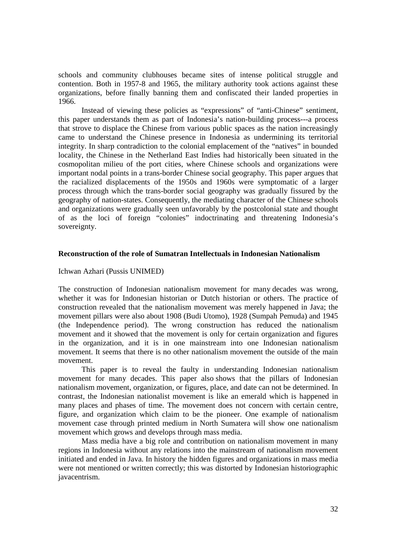schools and community clubhouses became sites of intense political struggle and contention. Both in 1957-8 and 1965, the military authority took actions against these organizations, before finally banning them and confiscated their landed properties in 1966.

Instead of viewing these policies as "expressions" of "anti-Chinese" sentiment, this paper understands them as part of Indonesia's nation-building process---a process that strove to displace the Chinese from various public spaces as the nation increasingly came to understand the Chinese presence in Indonesia as undermining its territorial integrity. In sharp contradiction to the colonial emplacement of the "natives" in bounded locality, the Chinese in the Netherland East Indies had historically been situated in the cosmopolitan milieu of the port cities, where Chinese schools and organizations were important nodal points in a trans-border Chinese social geography. This paper argues that the racialized displacements of the 1950s and 1960s were symptomatic of a larger process through which the trans-border social geography was gradually fissured by the geography of nation-states. Consequently, the mediating character of the Chinese schools and organizations were gradually seen unfavorably by the postcolonial state and thought of as the loci of foreign "colonies" indoctrinating and threatening Indonesia's sovereignty.

#### **Reconstruction of the role of Sumatran Intellectuals in Indonesian Nationalism**

Ichwan Azhari (Pussis UNIMED)

The construction of Indonesian nationalism movement for many decades was wrong, whether it was for Indonesian historian or Dutch historian or others. The practice of construction revealed that the nationalism movement was merely happened in Java; the movement pillars were also about 1908 (Budi Utomo), 1928 (Sumpah Pemuda) and 1945 (the Independence period). The wrong construction has reduced the nationalism movement and it showed that the movement is only for certain organization and figures in the organization, and it is in one mainstream into one Indonesian nationalism movement. It seems that there is no other nationalism movement the outside of the main movement.

This paper is to reveal the faulty in understanding Indonesian nationalism movement for many decades. This paper also shows that the pillars of Indonesian nationalism movement, organization, or figures, place, and date can not be determined. In contrast, the Indonesian nationalist movement is like an emerald which is happened in many places and phases of time. The movement does not concern with certain centre, figure, and organization which claim to be the pioneer. One example of nationalism movement case through printed medium in North Sumatera will show one nationalism movement which grows and develops through mass media.

Mass media have a big role and contribution on nationalism movement in many regions in Indonesia without any relations into the mainstream of nationalism movement initiated and ended in Java. In history the hidden figures and organizations in mass media were not mentioned or written correctly; this was distorted by Indonesian historiographic javacentrism.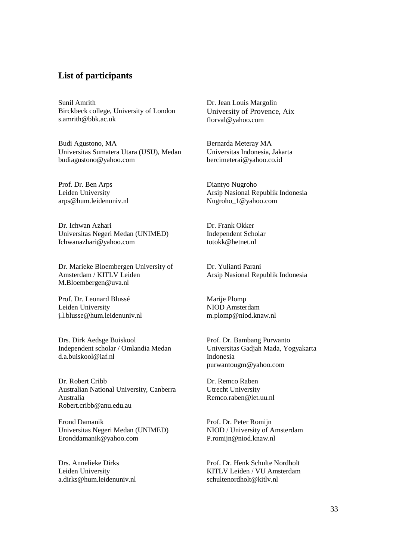# **List of participants**

Sunil Amrith Birckbeck college, University of London s.amrith@bbk.ac.uk

Budi Agustono, MA Universitas Sumatera Utara (USU), Medan budiagustono@yahoo.com

Prof. Dr. Ben Arps Leiden University arps@hum.leidenuniv.nl

Dr. Ichwan Azhari Universitas Negeri Medan (UNIMED) Ichwanazhari@yahoo.com

Dr. Marieke Bloembergen University of Amsterdam / KITLV Leiden M.Bloembergen@uva.nl

Prof. Dr. Leonard Blussé Leiden University j.l.blusse@hum.leidenuniv.nl

Drs. Dirk Aedsge Buiskool Independent scholar / Omlandia Medan d.a.buiskool@iaf.nl

Dr. Robert Cribb Australian National University, Canberra Australia Robert.cribb@anu.edu.au

Erond Damanik Universitas Negeri Medan (UNIMED) Eronddamanik@yahoo.com

Drs. Annelieke Dirks Leiden University a.dirks@hum.leidenuniv.nl Dr. Jean Louis Margolin University of Provence, Aix florval@yahoo.com

Bernarda Meteray MA Universitas Indonesia, Jakarta bercimeterai@yahoo.co.id

Diantyo Nugroho Arsip Nasional Republik Indonesia Nugroho\_1@yahoo.com

Dr. Frank Okker Independent Scholar totokk@hetnet.nl

Dr. Yulianti Parani Arsip Nasional Republik Indonesia

Marije Plomp NIOD Amsterdam m.plomp@niod.knaw.nl

Prof. Dr. Bambang Purwanto Universitas Gadjah Mada, Yogyakarta Indonesia purwantougm@yahoo.com

Dr. Remco Raben Utrecht University Remco.raben@let.uu.nl

Prof. Dr. Peter Romijn NIOD / University of Amsterdam P.romijn@niod.knaw.nl

Prof. Dr. Henk Schulte Nordholt KITLV Leiden / VU Amsterdam schultenordholt@kitlv.nl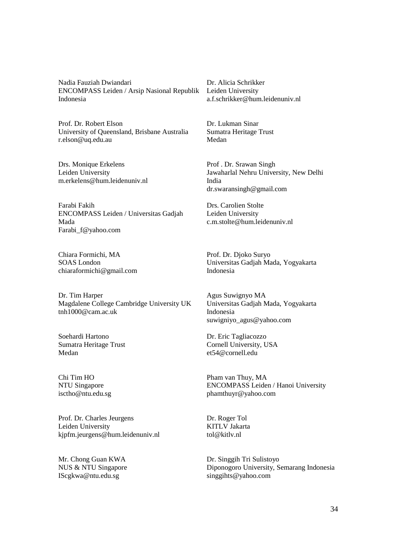Nadia Fauziah Dwiandari ENCOMPASS Leiden / Arsip Nasional Republik Indonesia

Prof. Dr. Robert Elson University of Queensland, Brisbane Australia r.elson@uq.edu.au

Drs. Monique Erkelens Leiden University m.erkelens@hum.leidenuniv.nl

Farabi Fakih ENCOMPASS Leiden / Universitas Gadjah Mada Farabi\_f@yahoo.com

Chiara Formichi, MA SOAS London chiaraformichi@gmail.com

Dr. Tim Harper Magdalene College Cambridge University UK tnh1000@cam.ac.uk

Soehardi Hartono Sumatra Heritage Trust Medan

Chi Tim HO NTU Singapore isctho@ntu.edu.sg

Prof. Dr. Charles Jeurgens Leiden University kjpfm.jeurgens@hum.leidenuniv.nl

Mr. Chong Guan KWA NUS & NTU Singapore IScgkwa@ntu.edu.sg

Dr. Alicia Schrikker Leiden University a.f.schrikker@hum.leidenuniv.nl

Dr. Lukman Sinar Sumatra Heritage Trust Medan

Prof . Dr. Srawan Singh Jawaharlal Nehru University, New Delhi India dr.swaransingh@gmail.com

Drs. Carolien Stolte Leiden University c.m.stolte@hum.leidenuniv.nl

Prof. Dr. Djoko Suryo Universitas Gadjah Mada, Yogyakarta Indonesia

Agus Suwignyo MA Universitas Gadjah Mada, Yogyakarta Indonesia suwigniyo\_agus@yahoo.com

Dr. Eric Tagliacozzo Cornell University, USA et54@cornell.edu

Pham van Thuy, MA ENCOMPASS Leiden / Hanoi University phamthuyr@yahoo.com

Dr. Roger Tol KITLV Jakarta tol@kitlv.nl

Dr. Singgih Tri Sulistoyo Diponogoro University, Semarang Indonesia singgihts@yahoo.com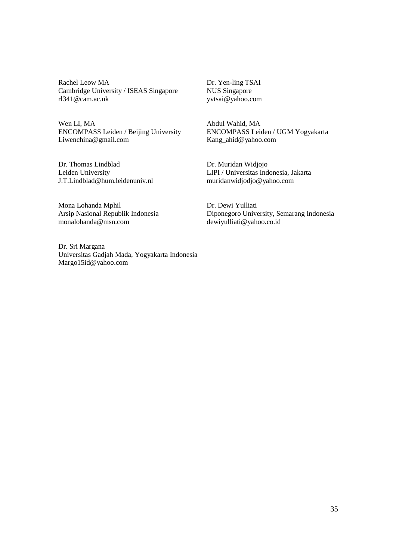Rachel Leow MA Cambridge University / ISEAS Singapore rl341@cam.ac.uk

Wen LI, MA ENCOMPASS Leiden / Beijing University Liwenchina@gmail.com

Dr. Thomas Lindblad Leiden University J.T.Lindblad@hum.leidenuniv.nl

Mona Lohanda Mphil Arsip Nasional Republik Indonesia monalohanda@msn.com

Dr. Sri Margana Universitas Gadjah Mada, Yogyakarta Indonesia Margo15id@yahoo.com

Dr. Yen-ling TSAI NUS Singapore yvtsai@yahoo.com

Abdul Wahid, MA ENCOMPASS Leiden / UGM Yogyakarta Kang\_ahid@yahoo.com

Dr. Muridan Widjojo LIPI / Universitas Indonesia, Jakarta muridanwidjodjo@yahoo.com

Dr. Dewi Yulliati Diponegoro University, Semarang Indonesia dewiyulliati@yahoo.co.id